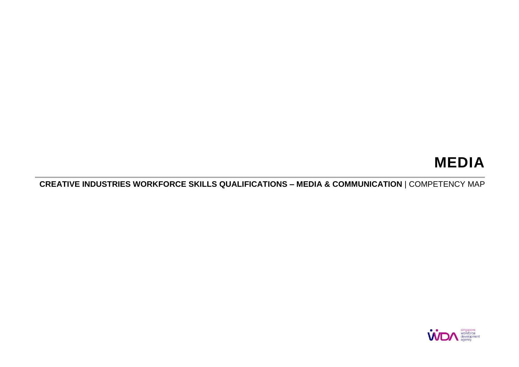# **MEDIA**

**CREATIVE INDUSTRIES WORKFORCE SKILLS QUALIFICATIONS – MEDIA & COMMUNICATION** | COMPETENCY MAP

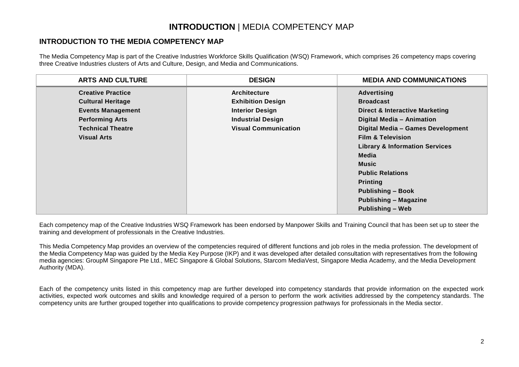## **INTRODUCTION** | MEDIA COMPETENCY MAP

### **INTRODUCTION TO THE MEDIA COMPETENCY MAP**

The Media Competency Map is part of the Creative Industries Workforce Skills Qualification (WSQ) Framework, which comprises 26 competency maps covering three Creative Industries clusters of Arts and Culture, Design, and Media and Communications.

| <b>ARTS AND CULTURE</b>  | <b>DESIGN</b>               | <b>MEDIA AND COMMUNICATIONS</b>           |
|--------------------------|-----------------------------|-------------------------------------------|
| <b>Creative Practice</b> | <b>Architecture</b>         | <b>Advertising</b>                        |
| <b>Cultural Heritage</b> | <b>Exhibition Design</b>    | <b>Broadcast</b>                          |
| <b>Events Management</b> | <b>Interior Design</b>      | <b>Direct &amp; Interactive Marketing</b> |
| <b>Performing Arts</b>   | <b>Industrial Design</b>    | <b>Digital Media - Animation</b>          |
| <b>Technical Theatre</b> | <b>Visual Communication</b> | Digital Media - Games Development         |
| <b>Visual Arts</b>       |                             | <b>Film &amp; Television</b>              |
|                          |                             | <b>Library &amp; Information Services</b> |
|                          |                             | Media                                     |
|                          |                             | <b>Music</b>                              |
|                          |                             | <b>Public Relations</b>                   |
|                          |                             | <b>Printing</b>                           |
|                          |                             | <b>Publishing - Book</b>                  |
|                          |                             | <b>Publishing - Magazine</b>              |
|                          |                             | <b>Publishing - Web</b>                   |

Each competency map of the Creative Industries WSQ Framework has been endorsed by Manpower Skills and Training Council that has been set up to steer the training and development of professionals in the Creative Industries.

This Media Competency Map provides an overview of the competencies required of different functions and job roles in the media profession. The development of the Media Competency Map was guided by the Media Key Purpose (IKP) and it was developed after detailed consultation with representatives from the following media agencies: GroupM Singapore Pte Ltd., MEC Singapore & Global Solutions, Starcom MediaVest, Singapore Media Academy, and the Media Development Authority (MDA).

Each of the competency units listed in this competency map are further developed into competency standards that provide information on the expected work activities, expected work outcomes and skills and knowledge required of a person to perform the work activities addressed by the competency standards. The competency units are further grouped together into qualifications to provide competency progression pathways for professionals in the Media sector.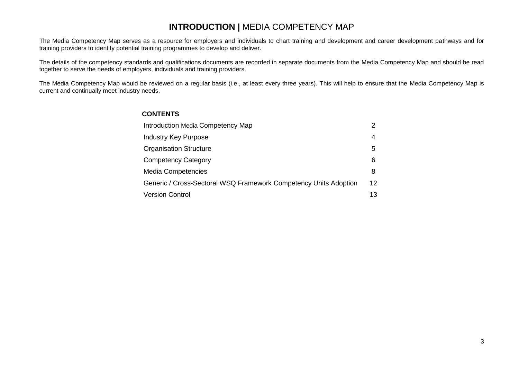## **INTRODUCTION |** MEDIA COMPETENCY MAP

The Media Competency Map serves as a resource for employers and individuals to chart training and development and career development pathways and for training providers to identify potential training programmes to develop and deliver.

The details of the competency standards and qualifications documents are recorded in separate documents from the Media Competency Map and should be read together to serve the needs of employers, individuals and training providers.

The Media Competency Map would be reviewed on a regular basis (i.e., at least every three years). This will help to ensure that the Media Competency Map is current and continually meet industry needs.

### **CONTENTS**

| Introduction Media Competency Map                                |    |
|------------------------------------------------------------------|----|
| <b>Industry Key Purpose</b>                                      | 4  |
| <b>Organisation Structure</b>                                    | 5  |
| <b>Competency Category</b>                                       | 6  |
| <b>Media Competencies</b>                                        | 8  |
| Generic / Cross-Sectoral WSQ Framework Competency Units Adoption | 12 |
| <b>Version Control</b>                                           | 13 |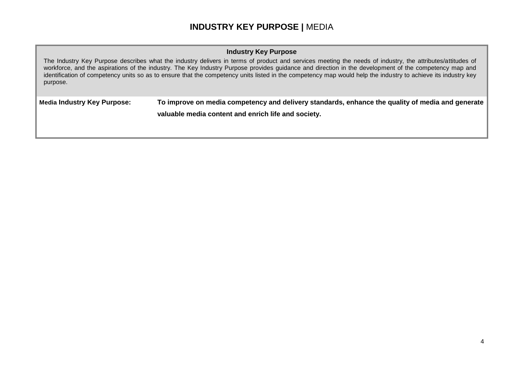## **INDUSTRY KEY PURPOSE |** MEDIA

### **Industry Key Purpose**

The Industry Key Purpose describes what the industry delivers in terms of product and services meeting the needs of industry, the attributes/attitudes of workforce, and the aspirations of the industry. The Key Industry Purpose provides guidance and direction in the development of the competency map and identification of competency units so as to ensure that the competency units listed in the competency map would help the industry to achieve its industry key purpose.

**Media Industry Key Purpose: To improve on media competency and delivery standards, enhance the quality of media and generate valuable media content and enrich life and society.**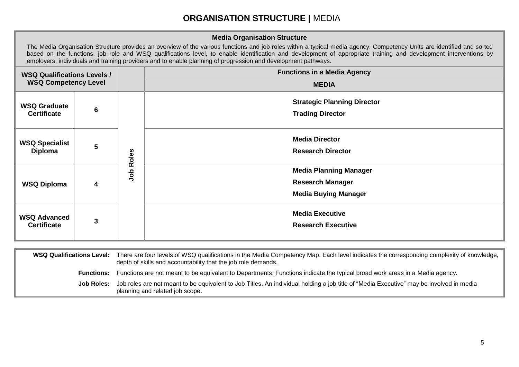## **ORGANISATION STRUCTURE |** MEDIA

### **Media Organisation Structure**

The Media Organisation Structure provides an overview of the various functions and job roles within a typical media agency. Competency Units are identified and sorted based on the functions, job role and WSQ qualifications level, to enable identification and development of appropriate training and development interventions by employers, individuals and training providers and to enable planning of progression and development pathways.

| <b>WSQ Qualifications Levels /</b><br><b>WSQ Competency Level</b> |   |       | <b>Functions in a Media Agency</b>                                                      |
|-------------------------------------------------------------------|---|-------|-----------------------------------------------------------------------------------------|
|                                                                   |   |       | <b>MEDIA</b>                                                                            |
| <b>WSQ Graduate</b><br><b>Certificate</b>                         | 6 | Roles | <b>Strategic Planning Director</b><br><b>Trading Director</b>                           |
| <b>WSQ Specialist</b><br>Diploma                                  | 5 |       | <b>Media Director</b><br><b>Research Director</b>                                       |
| <b>WSQ Diploma</b>                                                | 4 | dol   | <b>Media Planning Manager</b><br><b>Research Manager</b><br><b>Media Buying Manager</b> |
| <b>WSQ Advanced</b><br><b>Certificate</b>                         | 3 |       | <b>Media Executive</b><br><b>Research Executive</b>                                     |

| <b>WSQ Qualifications Level:</b> | There are four levels of WSQ qualifications in the Media Competency Map. Each level indicates the corresponding complexity of knowledge,<br>depth of skills and accountability that the job role demands. |
|----------------------------------|-----------------------------------------------------------------------------------------------------------------------------------------------------------------------------------------------------------|
| <b>Functions:</b>                | Functions are not meant to be equivalent to Departments. Functions indicate the typical broad work areas in a Media agency.                                                                               |
| Job Roles:                       | Job roles are not meant to be equivalent to Job Titles. An individual holding a job title of "Media Executive" may be involved in media<br>planning and related job scope.                                |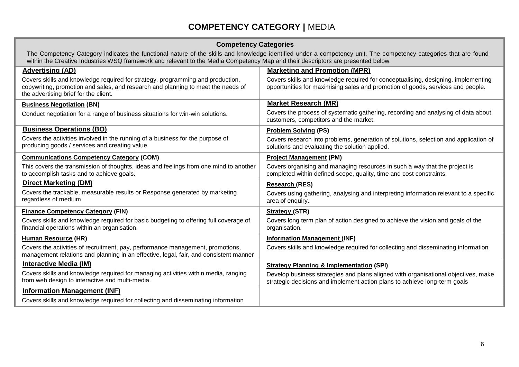# **COMPETENCY CATEGORY |** MEDIA

### **Competency Categories**

| The Competency Category indicates the functional nature of the skills and knowledge identified under a competency unit. The competency categories that are found |
|------------------------------------------------------------------------------------------------------------------------------------------------------------------|
| within the Creative Industries WSQ framework and relevant to the Media Competency Map and their descriptors are presented below.                                 |

| <b>Advertising (AD)</b>                                                                                                                                                                                     | <b>Marketing and Promotion (MPR)</b>                                                                                                                                 |
|-------------------------------------------------------------------------------------------------------------------------------------------------------------------------------------------------------------|----------------------------------------------------------------------------------------------------------------------------------------------------------------------|
| Covers skills and knowledge required for strategy, programming and production,<br>copywriting, promotion and sales, and research and planning to meet the needs of<br>the advertising brief for the client. | Covers skills and knowledge required for conceptualising, designing, implementing<br>opportunities for maximising sales and promotion of goods, services and people. |
| <b>Business Negotiation (BN)</b>                                                                                                                                                                            | <b>Market Research (MR)</b>                                                                                                                                          |
| Conduct negotiation for a range of business situations for win-win solutions.                                                                                                                               | Covers the process of systematic gathering, recording and analysing of data about<br>customers, competitors and the market.                                          |
| <b>Business Operations (BO)</b>                                                                                                                                                                             | <b>Problem Solving (PS)</b>                                                                                                                                          |
| Covers the activities involved in the running of a business for the purpose of<br>producing goods / services and creating value.                                                                            | Covers research into problems, generation of solutions, selection and application of<br>solutions and evaluating the solution applied.                               |
| <b>Communications Competency Category (COM)</b>                                                                                                                                                             | <b>Project Management (PM)</b>                                                                                                                                       |
| This covers the transmission of thoughts, ideas and feelings from one mind to another<br>to accomplish tasks and to achieve goals.                                                                          | Covers organising and managing resources in such a way that the project is<br>completed within defined scope, quality, time and cost constraints.                    |
| <b>Direct Marketing (DM)</b>                                                                                                                                                                                | <b>Research (RES)</b>                                                                                                                                                |
| Covers the trackable, measurable results or Response generated by marketing<br>regardless of medium.                                                                                                        | Covers using gathering, analysing and interpreting information relevant to a specific<br>area of enquiry.                                                            |
| <b>Finance Competency Category (FIN)</b>                                                                                                                                                                    | <b>Strategy (STR)</b>                                                                                                                                                |
| Covers skills and knowledge required for basic budgeting to offering full coverage of<br>financial operations within an organisation.                                                                       | Covers long term plan of action designed to achieve the vision and goals of the<br>organisation.                                                                     |
| <b>Human Resource (HR)</b>                                                                                                                                                                                  | <b>Information Management (INF)</b>                                                                                                                                  |
| Covers the activities of recruitment, pay, performance management, promotions,<br>management relations and planning in an effective, legal, fair, and consistent manner                                     | Covers skills and knowledge required for collecting and disseminating information                                                                                    |
| <b>Interactive Media (IM)</b>                                                                                                                                                                               | <b>Strategy Planning &amp; Implementation (SPI)</b>                                                                                                                  |
| Covers skills and knowledge required for managing activities within media, ranging<br>from web design to interactive and multi-media.                                                                       | Develop business strategies and plans aligned with organisational objectives, make<br>strategic decisions and implement action plans to achieve long-term goals      |
| <b>Information Management (INF)</b>                                                                                                                                                                         |                                                                                                                                                                      |
| Covers skills and knowledge required for collecting and disseminating information                                                                                                                           |                                                                                                                                                                      |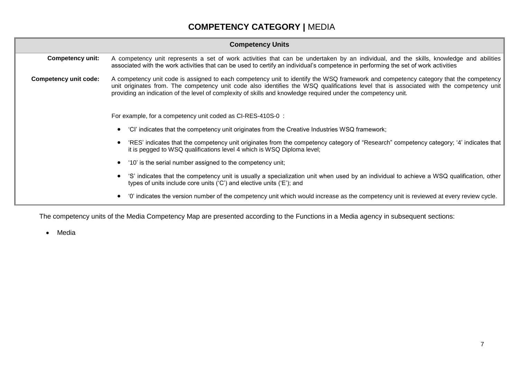# **COMPETENCY CATEGORY |** MEDIA

|                              | <b>Competency Units</b>                                                                                                                                                                                                                                                                                                                                                                           |  |  |
|------------------------------|---------------------------------------------------------------------------------------------------------------------------------------------------------------------------------------------------------------------------------------------------------------------------------------------------------------------------------------------------------------------------------------------------|--|--|
| <b>Competency unit:</b>      | A competency unit represents a set of work activities that can be undertaken by an individual, and the skills, knowledge and abilities<br>associated with the work activities that can be used to certify an individual's competence in performing the set of work activities                                                                                                                     |  |  |
| <b>Competency unit code:</b> | A competency unit code is assigned to each competency unit to identify the WSQ framework and competency category that the competency<br>unit originates from. The competency unit code also identifies the WSQ qualifications level that is associated with the competency unit<br>providing an indication of the level of complexity of skills and knowledge required under the competency unit. |  |  |
|                              | For example, for a competency unit coded as CI-RES-410S-0:                                                                                                                                                                                                                                                                                                                                        |  |  |
|                              | "CI" indicates that the competency unit originates from the Creative Industries WSQ framework;                                                                                                                                                                                                                                                                                                    |  |  |
|                              | 'RES' indicates that the competency unit originates from the competency category of "Research" competency category; '4' indicates that<br>it is pegged to WSQ qualifications level 4 which is WSQ Diploma level;                                                                                                                                                                                  |  |  |
|                              | • '10' is the serial number assigned to the competency unit;                                                                                                                                                                                                                                                                                                                                      |  |  |
|                              | 'S' indicates that the competency unit is usually a specialization unit when used by an individual to achieve a WSQ qualification, other<br>types of units include core units $(C')$ and elective units $(E')$ ; and                                                                                                                                                                              |  |  |
|                              | '0' indicates the version number of the competency unit which would increase as the competency unit is reviewed at every review cycle.<br>$\bullet$                                                                                                                                                                                                                                               |  |  |

The competency units of the Media Competency Map are presented according to the Functions in a Media agency in subsequent sections:

Media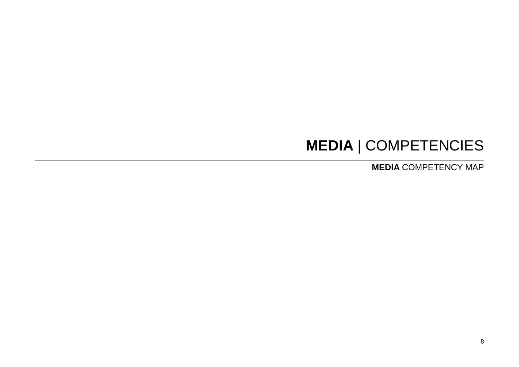# **MEDIA** | COMPETENCIES

**MEDIA** COMPETENCY MAP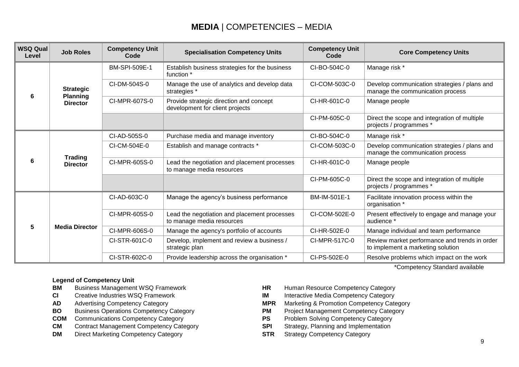## **MEDIA** | COMPETENCIES – MEDIA

| <b>WSQ Qual</b><br>Level | <b>Job Roles</b>                   | <b>Competency Unit</b><br>Code | <b>Competency Unit</b><br><b>Specialisation Competency Units</b>           |               | <b>Core Competency Units</b>                                                       |
|--------------------------|------------------------------------|--------------------------------|----------------------------------------------------------------------------|---------------|------------------------------------------------------------------------------------|
| 6                        | <b>Strategic</b>                   | BM-SPI-509E-1                  | Establish business strategies for the business<br>function *               | CI-BO-504C-0  | Manage risk *                                                                      |
|                          |                                    | CI-DM-504S-0                   | Manage the use of analytics and develop data<br>strategies *               | CI-COM-503C-0 | Develop communication strategies / plans and<br>manage the communication process   |
|                          | <b>Planning</b><br><b>Director</b> | CI-MPR-607S-0                  | Provide strategic direction and concept<br>development for client projects | CI-HR-601C-0  | Manage people                                                                      |
|                          |                                    |                                |                                                                            | CI-PM-605C-0  | Direct the scope and integration of multiple<br>projects / programmes *            |
|                          |                                    | CI-AD-505S-0                   | Purchase media and manage inventory                                        | CI-BO-504C-0  | Manage risk *                                                                      |
| 6                        | <b>Trading</b><br><b>Director</b>  | CI-CM-504E-0                   | Establish and manage contracts *                                           | CI-COM-503C-0 | Develop communication strategies / plans and<br>manage the communication process   |
|                          |                                    | CI-MPR-605S-0                  | Lead the negotiation and placement processes<br>to manage media resources  | CI-HR-601C-0  | Manage people                                                                      |
|                          |                                    |                                |                                                                            | CI-PM-605C-0  | Direct the scope and integration of multiple<br>projects / programmes *            |
|                          |                                    | CI-AD-603C-0                   | Manage the agency's business performance                                   | BM-IM-501E-1  | Facilitate innovation process within the<br>organisation *                         |
| 5                        |                                    | CI-MPR-605S-0                  | Lead the negotiation and placement processes<br>to manage media resources  | CI-COM-502E-0 | Present effectively to engage and manage your<br>audience *                        |
|                          | <b>Media Director</b>              | CI-MPR-606S-0                  | Manage the agency's portfolio of accounts                                  | CI-HR-502E-0  | Manage individual and team performance                                             |
|                          |                                    | CI-STR-601C-0                  | Develop, implement and review a business /<br>strategic plan               | CI-MPR-517C-0 | Review market performance and trends in order<br>to implement a marketing solution |
|                          |                                    | CI-STR-602C-0                  | Provide leadership across the organisation *                               | CI-PS-502E-0  | Resolve problems which impact on the work                                          |

\*Competency Standard available

#### **Legend of Competency Unit**

- **BM** Business Management WSQ Framework **HR** Human Resource Competency Category
- 
- 
- **BO** Business Operations Competency Category **PM**
- **COM** Communications Competency Category **PS** Problem Solving Competency Category
- **CM** Contract Management Competency Category **SPI** Strategy, Planning and Implementation
- **DM** Direct Marketing Competency Category **STR** Strategy Competency Category
- 
- **CI** Creative Industries WSQ Framework **IM** Interactive Media Competency Category<br> **AD** Advertising Competency Category **IM INTE** Marketing & Promotion Competency Cate
- **AD** Advertising Competency Category<br> **BO** Business Operations Competency Category<br> **BO** Business Operations Competency Category<br> **PM** Project Management Competency Category
	-
	-
	-
	-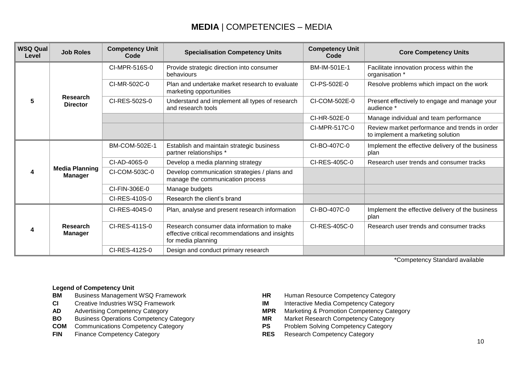## **MEDIA** | COMPETENCIES – MEDIA

| <b>WSQ Qual</b><br>Level | <b>Job Roles</b>                        | <b>Competency Unit</b><br>Code | <b>Specialisation Competency Units</b>                                                                              | <b>Competency Unit</b><br>Code | <b>Core Competency Units</b>                                                       |
|--------------------------|-----------------------------------------|--------------------------------|---------------------------------------------------------------------------------------------------------------------|--------------------------------|------------------------------------------------------------------------------------|
|                          |                                         | CI-MPR-516S-0                  | Provide strategic direction into consumer<br>behaviours                                                             | BM-IM-501E-1                   | Facilitate innovation process within the<br>organisation *                         |
|                          |                                         | CI-MR-502C-0                   | Plan and undertake market research to evaluate<br>marketing opportunities                                           | CI-PS-502E-0                   | Resolve problems which impact on the work                                          |
| 5                        | <b>Research</b><br><b>Director</b>      | CI-RES-502S-0                  | Understand and implement all types of research<br>and research tools                                                | CI-COM-502E-0                  | Present effectively to engage and manage your<br>audience *                        |
|                          |                                         |                                |                                                                                                                     | CI-HR-502E-0                   | Manage individual and team performance                                             |
|                          |                                         |                                |                                                                                                                     | CI-MPR-517C-0                  | Review market performance and trends in order<br>to implement a marketing solution |
| 4                        |                                         | <b>BM-COM-502E-1</b>           | Establish and maintain strategic business<br>partner relationships *                                                | CI-BO-407C-0                   | Implement the effective delivery of the business<br>plan                           |
|                          |                                         | CI-AD-406S-0                   | Develop a media planning strategy                                                                                   | CI-RES-405C-0                  | Research user trends and consumer tracks                                           |
|                          | <b>Media Planning</b><br><b>Manager</b> | CI-COM-503C-0                  | Develop communication strategies / plans and<br>manage the communication process                                    |                                |                                                                                    |
|                          |                                         | CI-FIN-306E-0                  | Manage budgets                                                                                                      |                                |                                                                                    |
|                          |                                         | CI-RES-410S-0                  | Research the client's brand                                                                                         |                                |                                                                                    |
|                          |                                         | CI-RES-404S-0                  | Plan, analyse and present research information                                                                      | CI-BO-407C-0                   | Implement the effective delivery of the business<br>plan                           |
| 4                        | <b>Research</b><br><b>Manager</b>       | CI-RES-411S-0                  | Research consumer data information to make<br>effective critical recommendations and insights<br>for media planning | CI-RES-405C-0                  | Research user trends and consumer tracks                                           |
|                          |                                         | CI-RES-412S-0                  | Design and conduct primary research                                                                                 |                                |                                                                                    |

\*Competency Standard available

### **Legend of Competency Unit**

- **BM** Business Management WSQ Framework **HR** Human Resource Competency Category<br> **CI** Creative Industries WSQ Framework **HR** Interactive Media Competency Category
- 
- 
- **BO** Business Operations Competency Category **MR** Market Research Competency Category<br>**COM** Communications Competency Category **COM** Communications Competency Category
- **COM** Communications Competency Category
- **FIN** Finance Competency Category **RES** Research Competency Category
- 
- **CI** Creative Industries WSQ Framework **IM** Interactive Media Competency Category
- **AD** Advertising Competency Category<br> **BO** Business Operations Competency Category<br> **MR** Market Research Competency Category<br> **MR** Market Research Competency Category
	-
	-
	-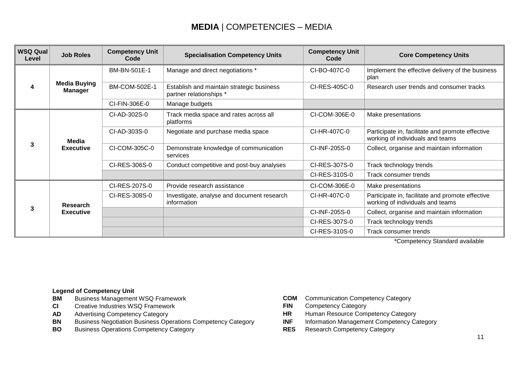## **MEDIA** | COMPETENCIES – MEDIA

| <b>WSQ Qual</b><br>Level | <b>Job Roles</b>                      | <b>Competency Unit</b><br>Code | <b>Specialisation Competency Units</b>                               | <b>Competency Unit</b><br>Code | <b>Core Competency Units</b>                                                         |
|--------------------------|---------------------------------------|--------------------------------|----------------------------------------------------------------------|--------------------------------|--------------------------------------------------------------------------------------|
| 4                        | <b>Media Buying</b><br><b>Manager</b> | BM-BN-501E-1                   | Manage and direct negotiations *                                     | CI-BO-407C-0                   | Implement the effective delivery of the business<br>plan                             |
|                          |                                       | BM-COM-502E-1                  | Establish and maintain strategic business<br>partner relationships * | CI-RES-405C-0                  | Research user trends and consumer tracks                                             |
|                          |                                       | CI-FIN-306E-0                  | Manage budgets                                                       |                                |                                                                                      |
|                          | Media<br><b>Executive</b>             | CI-AD-302S-0                   | Track media space and rates across all<br>platforms                  | CI-COM-306E-0                  | Make presentations                                                                   |
|                          |                                       | CI-AD-303S-0                   | Negotiate and purchase media space                                   | CI-HR-407C-0                   | Participate in, facilitate and promote effective<br>working of individuals and teams |
|                          |                                       | CI-COM-305C-0                  | Demonstrate knowledge of communication<br>services                   | CI-INF-205S-0                  | Collect, organise and maintain information                                           |
|                          |                                       | CI-RES-306S-0                  | Conduct competitive and post-buy analyses                            | CI-RES-307S-0                  | Track technology trends                                                              |
|                          |                                       |                                |                                                                      | CI-RES-310S-0                  | Track consumer trends                                                                |
|                          | Research<br><b>Executive</b>          | CI-RES-207S-0                  | Provide research assistance                                          | CI-COM-306E-0                  | Make presentations                                                                   |
|                          |                                       | CI-RES-308S-0                  | Investigate, analyse and document research<br>information            | CI-HR-407C-0                   | Participate in, facilitate and promote effective<br>working of individuals and teams |
|                          |                                       |                                |                                                                      | CI-INF-205S-0                  | Collect, organise and maintain information                                           |
|                          |                                       |                                |                                                                      | CI-RES-307S-0                  | Track technology trends                                                              |
|                          |                                       |                                |                                                                      | CI-RES-310S-0                  | Track consumer trends                                                                |

\*Competency Standard available

### **Legend of Competency Unit**

- **BM** Business Management WSQ Framework **COM** Communication Competency Category
- **CI** Creative Industries WSQ Framework **FIN** Competency Category
- 
- **AD** Advertising Competency Category **HR** Human Resource Competency Category **BN** Business Negotiation Business Operations Competency Category
- **BO** Business Operations Competency Category **RES** Research Competency Category
- 
- 
- 
- -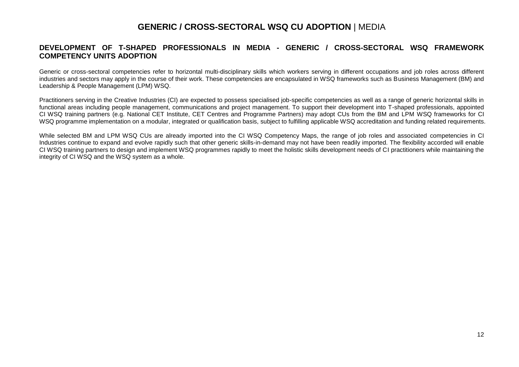### **GENERIC / CROSS-SECTORAL WSQ CU ADOPTION** | MEDIA

### **DEVELOPMENT OF T-SHAPED PROFESSIONALS IN MEDIA - GENERIC / CROSS-SECTORAL WSQ FRAMEWORK COMPETENCY UNITS ADOPTION**

Generic or cross-sectoral competencies refer to horizontal multi-disciplinary skills which workers serving in different occupations and job roles across different industries and sectors may apply in the course of their work. These competencies are encapsulated in WSQ frameworks such as Business Management (BM) and Leadership & People Management (LPM) WSQ.

Practitioners serving in the Creative Industries (CI) are expected to possess specialised job-specific competencies as well as a range of generic horizontal skills in functional areas including people management, communications and project management. To support their development into T-shaped professionals, appointed CI WSQ training partners (e.g. National CET Institute, CET Centres and Programme Partners) may adopt CUs from the BM and LPM WSQ frameworks for CI WSQ programme implementation on a modular, integrated or qualification basis, subject to fulfilling applicable WSQ accreditation and funding related requirements.

While selected BM and LPM WSQ CUs are already imported into the CI WSQ Competency Maps, the range of job roles and associated competencies in CI Industries continue to expand and evolve rapidly such that other generic skills-in-demand may not have been readily imported. The flexibility accorded will enable CI WSQ training partners to design and implement WSQ programmes rapidly to meet the holistic skills development needs of CI practitioners while maintaining the integrity of CI WSQ and the WSQ system as a whole.